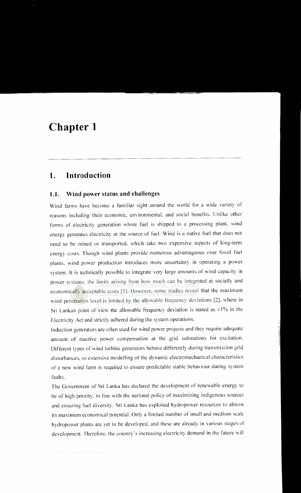# **Chapter 1**

## **1. Introduction**

#### **1.1. Wind power status and challenges**

Wind farms have become a familiar sight around the world for a wide variety of reasons including their economic, environmental, and social benefits. Unlike other forms of electricity generation where fuel is shipped to a processing plant. wind energy generates electricity at the source of fuel. Wind is a native fuel that does not need to be mined or transported. which take two expensive aspects of long-term energy costs. Though wind plants provide numerous advantageous over fossil fuel plants, wind power production introduces more uncertainty in operating a power system. It is technically possible to integrate very large amounts of wind capacity in power systems; the limits arising from how much can be integrated at socially and economically acceptable costs [1]. However, some studies reveal that the maximum wind penetration level is limited by the allowable frequency deviations [2]. where in Sri Lankan point of view the allowable frequency deviation is stated as  $\pm 1\%$  in the Electricity Act and strictly adhered during the system operations.

Induction generators are often used for wind power projects and they require adequate amount of reactive power compensation at the grid substations for excitation. Different types of wind turbine generators behave differently during transmission grid disturbances. so extensive modelling of the dynamic electromechanical characteristics of a new wind farm is required to ensure predictable stable behaviour during system faults.

The Government of Sri Lanka has declared the development of renewable energy to be of high priority. in line with the national policy of maximizing indigenous sources and ensuring fuel diversity. Sri Lanka has exploited hydropower resources to almost its maximum economical potential. Only a limited number of small and medium scale hydropower plants are yet to be developed. and these are already in various stages of development. Therefore. the country's increasing electricity demand in the future will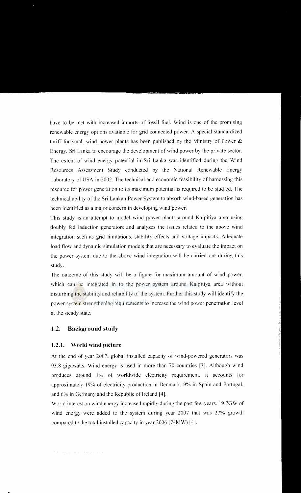have to be met with increased imports of fossil fuel. Wind is one of the promising renewable energy options available for grid connected power. A special standardized tariff for small wind power plants has been published by the Ministry of Power & Energy, Sri Lanka to encourage the development of wind power by the private sector. The extent of wind energy potential in Sri Lanka was identified during the Wind Resources Assessment Study conducted by the National Renewable Energy Laboratory of USA in 2002. The technical and economic feasibility of harnessing this resource for power generation to its maximum potential is required to be studied. The technical ability ofthe Sri Lankan Power System to absorb wind-based generation has been identified as a major concern in developing wind power.

This study is an attempt to model wind power plants around Kalpitiya area using doubly fed induction generators and analyzes the issues related to the above wind integration such as grid limitations, stability effects and voltage impacts. Adequate load flow and dynamic simulation models that are necessary to evaluate the impact on the power system due to the above wind integration will be carried out during this study.

The outcome of this study will be a figure for maximum amount of wind power. which can be integrated in to the power system around Kalpitiya area without disturbing the stability and reliability of the system. Further this study will identify the power system strengthening requirements to increase the wind power penetration level at the steady state.

#### **1.2. Background study**

#### **1.2.1. World wind picture**

At the end of year 2007, global installed capacity of wind-powered generators was 93.8 gigawatts. Wind energy is used in more than 70 countries [3]. Although wind produces around I% of worldwide electricity requirement, it accounts for approximately 19% of electricity production in Denmark, 9% in Spain and Portugal. and 6% in Germany and the Republic of Ireland [4].

World interest on wind energy increased rapidly during the past few years. 19.7GW of wind energy were added to the system during year 2007 that was 27% growth compared to the total installed capacity in year 2006 (74MW) [4].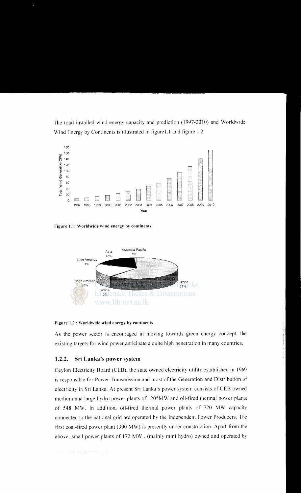The total installed wind energy capacity and prediction (1997-2010) and Worldwide Wind Energy by Continents is illustrated in figure 1.1 and figure 1.2.



Figure 1.1: Worldwide wind energy by continents



Figure 1.2: Worldwide wind energy by continents

As the power sector is encouraged in moving towards green energy concept, the existing targets for wind power anticipate a quite high penetration in many countries.

#### **1.2.2. Sri Lanka's power** system

Ceylon Electricity Board (CEB). the state owned electricity utility established in 1969 is responsible for Power Transmission and most of the Generation and Distribution of electricity in Sri Lanka. At present Sri Lanka's power system consists of CEB owned medium and large hydro power plants of 1205MW and oil-fired thermal power plants of 548 MW. In addition. oil-fired thermal power plants of 720 MW capacity connected to the national grid are operated by the Independent Power Producers. The first coal-fired power plant (300 MW) is presently under construction. Apart from the above. small power plants of 172 MW. (mainly mini hydro) owned and operated by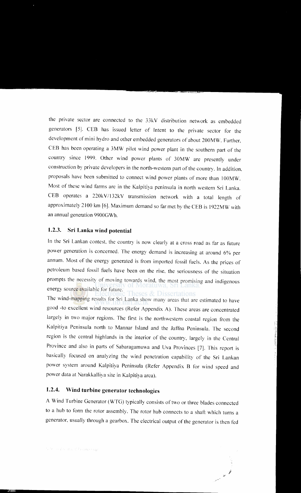the private sector are connected to the 33kV distribution network as embedded generators [5]. CEB has issued letter of Intent to the private sector for the development of mini hydro and other embedded generators of about 200MW. Further, CEB has been operating a 3MW pilot wind power plant in the southern part of the country since 1999. Other wind power plants of 30MW are presently under construction by private developers in the north-western part of the country. In addition, proposals have been submitted to connect wind power plants of more than I OOMW. Most of these wind farms are in the Kalpitiya peninsula in north western Sri Lanka. CEB operates a 220kV/132kV transmission network with a total length of approximately 2100 km [6]. Maximum demand so far met by the CEB is 1922MW with an annual generation 9900GWh.

#### **1.2.3. Sri Lanka wind potential**

In the Sri Lankan contest. the country is now clearly at a cross road as tar as future power generation is concerned. The energy demand is increasing at around 6% per annum. Most of the energy generated is from imported fossil fuels. As the prices of petroleum based fossil fuels have been on the rise, the seriousness of the situation prompts the necessity of moving towards wind, the most promising and indigenous energy source available for future.

The wind-mapping results for Sri Lanka show many areas that are estimated to have good -to excellent wind resources (Refer Appendix A). These areas are concentrated largely in two mqjor regions. The first is the northwestern coastal region from the Kalpitiya Peninsula north to Mannar Island and the Jatfna Peninsula. The second region is the central highlands in the interior of the country. largely in the Central Province and also in parts of Sabaragamuwa and Uva Provinces [7]. This report is basically focused on analyzing the wind penetration capability of the Sri Lankan power system around Kalpitiya Peninsula (Refer Appendix B tor wind speed and power data at Narakkalliya site in Kalpitiya area).

### **1.2.4. Wind turbine generator technologies**

A Wind Turbine Generator (WTG) typically consists of two or three blades connected to a hub to form the rotor assembly. The rotor hub connects to a shaft which turns a generator, usually through a gearbox. The electrical output of the generator is then fed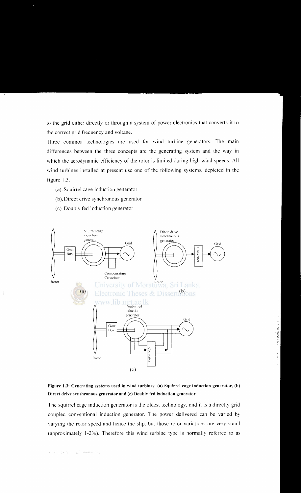to the grid either directly or through a system of power electronics that converts it to the correct grid frequency and voltage.

Three common technologies are used for wind turbine generators. The main differences between the three concepts are the generating system and the way in which the aerodynamic efficiency of the rotor is limited during high wind speeds. All wind turbines installed at present use one of the following systems, depicted in the figure 1.3.

- (a). Squirrel cage induction generator
- (b). Direct drive synchronous generator
- (c). Doubly fed induction generator





The squirrel cage induction generator is the oldest technology, and it is a directly grid coupled conventional induction generator. The power delivered can be varied by varying the rotor speed and hence the slip, but those rotor variations are very small (approximately l-2%). Therefore this wind turbine type is normally referred to as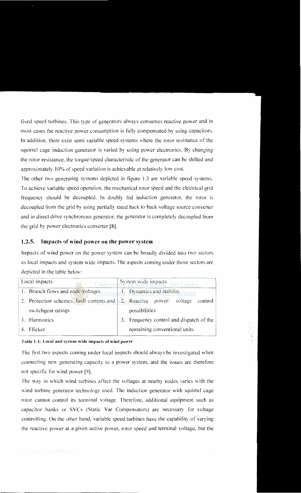fixed speed turbines. This type of generators always consumes reactive power and in most cases the reactive power consumption is fully compensated by using capacitors. In addition, there exist semi variable speed systems where the rotor resistance of the squirrel cage induction generator is varied by using power electronics. By changing the rotor resistance, the torque/speed characteristic of the generator can be shifted and approximately 10% of speed variation is achievable at relatively low cost.

The other two generating systems depicted in figure 1.3 are variable speed systems. To achieve variable speed operation. the mechanical rotor speed and the electrical grid frequency should be decoupled. In doubly fed induction generator. the rotor is decoupled from the grid by using partially rated back to back voltage source converter and in direct drive synchronous generator, the generator is completely decoupled from the grid by power electronics converter [8].

#### 1.2.5. Impacts of wind power on the power system

Impacts of wind power on the power system can be broadly divided into two sectors as local impacts and system wide impacts. The aspects coming under those sectors are depicted in the table below:

| Local impacts<br>Univers |                                                                                       | System wide impacts Sri Lanka. |                                          |
|--------------------------|---------------------------------------------------------------------------------------|--------------------------------|------------------------------------------|
|                          | 1. Branch flows and node voltages ectroliant. Dynamics and stability tions            |                                |                                          |
|                          | Protection schemes, fault currents and $\frac{1}{2}$ . Reactive power voltage control |                                |                                          |
|                          | switchgear ratings                                                                    |                                | possibilities                            |
|                          | 3. Harmonics                                                                          |                                | 3. Frequency control and dispatch of the |
|                          | 4. Flicker                                                                            |                                | remaining conventional units             |

#### Table 1-1: Local and system wide impacts of wind power

The first two aspects coming under local impacts should always be investigated when connecting new generating capacity to a power system. and the issues are therefore not specific for wind power [9].

The way in which wind turbines affect the voltages at nearby nodes varies with the wind turbine generator technology used. The induction generator with squirrel cage rotor cannot control its terminal voltage. Therefore. additional equipment such as capacitor banks or SVCs (Static Yar Compensators) are necessary for voltage controlling. On the other hand. variable speed turbines have the capability of varying the reactive power at a given active power. rotor speed and terminal voltage. but the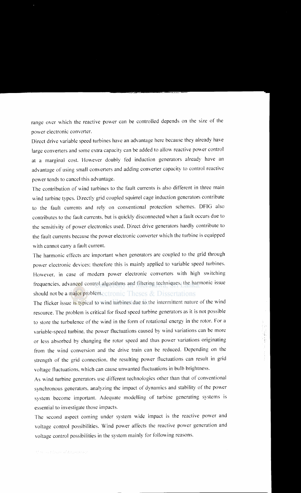range over which the reactive power can be controlled depends on the size of the power electronic converter.

Direct drive variable speed turbines have an advantage here because they already have large converters and some extra capacity can be added to allow reactive power control at a marginal cost. However doubly fed induction generators already have an advantage of using small converters and adding converter capacity to control reactive power tends to cancel this advantage.

The contribution of wind turbines to the fault currents is also different in three main wind turbine types. Directly grid coupled squirrel cage induction generators contribute to the fault currents and rely on conventional protection schemes. DFIG also contributes to the fault currents, but is quickly disconnected when a fault occurs due to the sensitivity of power electronics used. Direct drive generators hardly contribute to the fault currents because the power electronic converter which the turbine is equipped with cannot carry a fault current.

The harmonic effects are important when generators are coupled to the grid through power electronic devices; therefore this is mainly applied to variable speed turbines. However, in case of modern power electronic converters with high switching frequencies, advanced control algorithms and filtering techniques, the harmonic issue should not be a major problem.  $\epsilon$  Theses  $\&$  Dissertations

The flicker issue is typical to wind turbines due to the intermittent nature of the wind resource. The problem is critical for fixed speed turbine generators as it is not possible to store the turbulence of the wind in the form of rotational energy in the rotor. For a variable-speed turbine, the power fluctuations caused by wind variations can be more or less absorbed by changing the rotor speed and thus power variations originating from the wind conversion and the drive train can be reduced. Depending on the strength of the grid connection, the resulting power fluctuations can result in grid voltage fluctuations, which can cause unwanted fluctuations in bulb brightness.

As wind turbine generators use different technologies other than that of conventional synchronous generators, analyzing the impact of dynamics and stability of the power system become important. Adequate modelling of turbine generating systems is essential to investigate those impacts.

The second aspect coming under system wide impact is the reactive power and voltage control possibilities. Wind power affects the reactive power generation and voltage control possibilities in the system mainly for following reasons.

Marchart Inc. End Edgman Day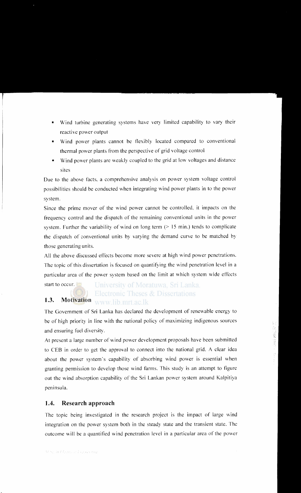- Wind turbine generating systems have very limited capability to vary their reactive power output
- Wind power plants cannot be flexibly located compared to conventional thermal power plants from the perspective of grid voltage control
- Wind power plants are weakly coupled to the grid at low voltages and distance sites

Due to the above facts, a comprehensive analysis on power system voltage control possibilities should be conducted when integrating wind power plants in to the power system.

Since the prime mover of the wind power cannot be controlled, it impacts on the frequency control and the dispatch of the remaining conventional units in the power system. Further the variability of wind on long term  $($  > 15 min.) tends to complicate the dispatch of conventional units by varying the demand curve to be matched by those generating units.

All the above discussed effects become more severe at high wind power penetrations. The topic of this dissertation is focused on quantifying the wind penetration level in a particular area of the power system based on the limit at which system wide effects

start to occur.

University of Moratuwa, Sri Lanka. **Electronic Theses & Dissertations** 

## **1.3. Motivation WWW.lib.mrt.ac.lk**

The Government of Sri Lanka has declared the development of renewable energy to be of high priority in line with the national policy of maximizing indigenous sources and ensuring fuel diversity.

At present a large number of wind power development proposals have been submitted to CEB in order to get the approval to connect into the national grid. A clear idea about the power system's capability of absorbing wind power is essential when granting permission to develop those wind farms. This study is an attempt to figure out the wind absorption capability of the Sri Lankan power system around Kalpitiya peninsula.

### **1.4. Research approach**

The topic being investigated in the research project is the impact of large wind integration on the power system both in the steady state and the transient state. The outcome will be a quantified wind penetration level in a particular area of the power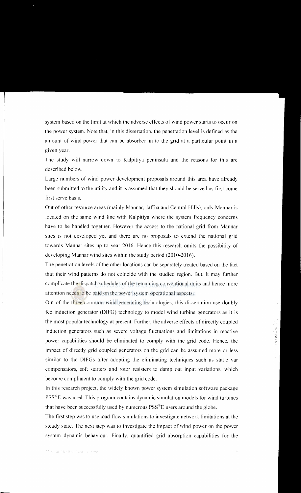system based on the limit at which the adverse effects of wind power starts to occur on the power system. Note that, in this dissertation, the penetration level is defined as the amount of wind power that can be absorbed in to the grid at a particular point in a given year.

The study will narrow down to Kalpitiya peninsula and the reasons for this are described below.

Large numbers of wind power development proposals around this area have already been submitted to the utility and it is assumed that they should be served as first come first serve basis.

Out of other resource areas (mainly Mannar, Jaffna and Central Hills), only Mannar is located on the same wind line with Kalpitiya where the system frequency concerns have to be handled together. However the access to the national grid from Mannar sites is not developed yet and there are no proposals to extend the national grid towards Mannar sites up to year 2016. Hence this research omits the possibility of developing Mannar wind sites within the study period (2010-2016).

The penetration levels of the other locations can be separately treated based on the fact that their wind patterns do not coincide with the studied region. But, it may further complicate the dispatch schedules of the remaining conventional units and hence more attention needs to be paid on the power system operational aspects.

Out of the three common wind generating technologies, this dissertation use doubly fed induction generator (DIFG) technology to model wind turbine generators as it is the most popular technology at present. Further, the adverse effects of directly coupled induction generators such as severe voltage fluctuations and limitations in reactive power capabilities should be eliminated to comply with the grid code. Hence. the impact of directly grid coupled generators on the grid can be assumed more or less similar to the DIFGs after adopting the eliminating techniques such as static var compensators, soft starters and rotor resisters to damp out input variations, which become compliment to comply with the grid code.

In this research project, the widely known power system simulation software package  $PSS^{\circledast}E$  was used. This program contains dynamic simulation models for wind turbines that have been successfully used by numerous  $PSS^*E$  users around the globe.

The first step was to use load flow simulations to investigate network limitations at the steady state. The next step was to investigate the impact of wind power on the power system dynamic behaviour. Finally. quantified grid absorption capabilities for the